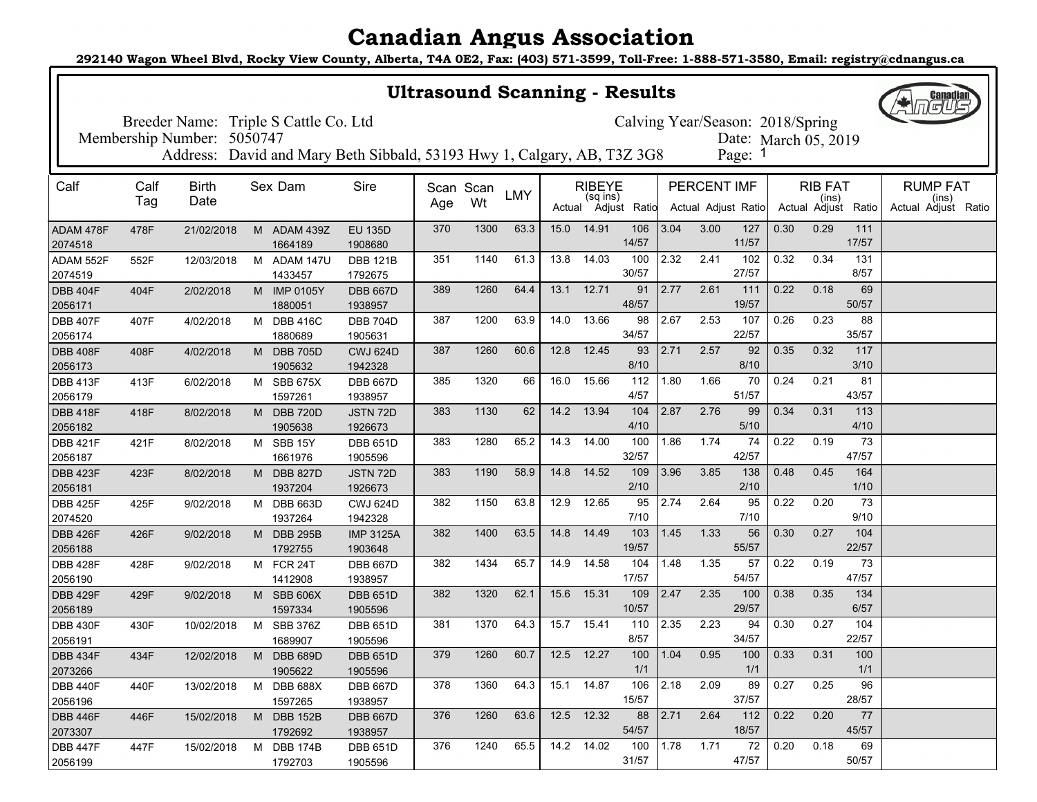**292140 Wagon Wheel Blvd, Rocky View County, Alberta, T4A 0E2, Fax: (403) 571-3599, Toll-Free: 1-888-571-3580, Email: registry@cdnangus.ca**

| <b>Ultrasound Scanning - Results</b>                                      |      |                            |   |                             |                                                                         |     |           |            |      |               |                     |      |                    | <b>Canadian</b>      |      |                              |              |                              |
|---------------------------------------------------------------------------|------|----------------------------|---|-----------------------------|-------------------------------------------------------------------------|-----|-----------|------------|------|---------------|---------------------|------|--------------------|----------------------|------|------------------------------|--------------|------------------------------|
| Breeder Name: Triple S Cattle Co. Ltd<br>Calving Year/Season: 2018/Spring |      |                            |   |                             |                                                                         |     |           |            |      |               |                     |      |                    |                      |      |                              |              |                              |
|                                                                           |      | Membership Number: 5050747 |   |                             |                                                                         |     |           |            |      |               |                     |      |                    | Date: March 05, 2019 |      |                              |              |                              |
|                                                                           |      |                            |   |                             | Address: David and Mary Beth Sibbald, 53193 Hwy 1, Calgary, AB, T3Z 3G8 |     |           |            |      |               |                     |      |                    | Page: 1              |      |                              |              |                              |
| Calf                                                                      | Calf | <b>Birth</b>               |   | Sex Dam                     | Sire                                                                    |     | Scan Scan |            |      | <b>RIBEYE</b> |                     |      | <b>PERCENT IMF</b> |                      |      | <b>RIB FAT</b>               |              | <b>RUMP FAT</b>              |
|                                                                           | Tag  | Date                       |   |                             |                                                                         | Age | Wt        | <b>LMY</b> |      | (sq ins)      | Actual Adjust Ratio |      |                    | Actual Adjust Ratio  |      | (ins)<br>Actual Adjust Ratio |              | (ins)<br>Actual Adjust Ratio |
| ADAM 478F<br>2074518                                                      | 478F | 21/02/2018                 |   | M ADAM 439Z<br>1664189      | <b>EU 135D</b><br>1908680                                               | 370 | 1300      | 63.3       | 15.0 | 14.91         | 106<br>14/57        | 3.04 | 3.00               | 127<br>11/57         | 0.30 | 0.29                         | 111<br>17/57 |                              |
| ADAM 552F                                                                 | 552F | 12/03/2018                 | м | ADAM 147U                   | <b>DBB 121B</b>                                                         | 351 | 1140      | 61.3       | 13.8 | 14.03         | 100<br>30/57        | 2.32 | 2.41               | 102<br>27/57         | 0.32 | 0.34                         | 131<br>8/57  |                              |
| 2074519<br><b>DBB 404F</b>                                                | 404F | 2/02/2018                  | M | 1433457<br><b>IMP 0105Y</b> | 1792675<br><b>DBB 667D</b>                                              | 389 | 1260      | 64.4       | 13.1 | 12.71         | 91                  | 2.77 | 2.61               | 111                  | 0.22 | 0.18                         | 69           |                              |
| 2056171                                                                   |      |                            |   | 1880051                     | 1938957                                                                 |     |           |            |      |               | 48/57               |      |                    | 19/57                |      |                              | 50/57        |                              |
| <b>DBB 407F</b>                                                           | 407F | 4/02/2018                  | M | <b>DBB 416C</b>             | <b>DBB 704D</b>                                                         | 387 | 1200      | 63.9       | 14.0 | 13.66         | 98                  | 2.67 | 2.53               | 107                  | 0.26 | 0.23                         | 88           |                              |
| 2056174                                                                   |      |                            |   | 1880689                     | 1905631                                                                 |     |           |            |      |               | 34/57               |      |                    | 22/57                |      |                              | 35/57        |                              |
| <b>DBB 408F</b>                                                           | 408F | 4/02/2018                  |   | M DBB 705D                  | <b>CWJ 624D</b>                                                         | 387 | 1260      | 60.6       | 12.8 | 12.45         | 93<br>8/10          | 2.71 | 2.57               | 92<br>8/10           | 0.35 | 0.32                         | 117<br>3/10  |                              |
| 2056173<br><b>DBB 413F</b>                                                | 413F | 6/02/2018                  |   | 1905632<br>M SBB 675X       | 1942328<br><b>DBB 667D</b>                                              | 385 | 1320      | 66         | 16.0 | 15.66         | 112                 | 1.80 | 1.66               | 70                   | 0.24 | 0.21                         | 81           |                              |
| 2056179                                                                   |      |                            |   | 1597261                     | 1938957                                                                 |     |           |            |      |               | 4/57                |      |                    | 51/57                |      |                              | 43/57        |                              |
| <b>DBB 418F</b>                                                           | 418F | 8/02/2018                  | м | <b>DBB 720D</b>             | JSTN 72D                                                                | 383 | 1130      | 62         | 14.2 | 13.94         | 104                 | 2.87 | 2.76               | 99                   | 0.34 | 0.31                         | 113          |                              |
| 2056182                                                                   |      |                            |   | 1905638                     | 1926673                                                                 |     |           |            |      |               | 4/10                |      |                    | 5/10                 |      |                              | 4/10         |                              |
| <b>DBB 421F</b>                                                           | 421F | 8/02/2018                  |   | M SBB 15Y                   | <b>DBB 651D</b>                                                         | 383 | 1280      | 65.2       | 14.3 | 14.00         | 100                 | 1.86 | 1.74               | 74                   | 0.22 | 0.19                         | 73           |                              |
| 2056187                                                                   |      |                            |   | 1661976                     | 1905596                                                                 |     |           |            |      |               | 32/57               |      |                    | 42/57                |      |                              | 47/57        |                              |
| <b>DBB 423F</b><br>2056181                                                | 423F | 8/02/2018                  | M | <b>DBB 827D</b><br>1937204  | JSTN 72D<br>1926673                                                     | 383 | 1190      | 58.9       | 14.8 | 14.52         | 109<br>2/10         | 3.96 | 3.85               | 138<br>2/10          | 0.48 | 0.45                         | 164<br>1/10  |                              |
| <b>DBB 425F</b>                                                           | 425F | 9/02/2018                  |   | M DBB 663D                  | <b>CWJ 624D</b>                                                         | 382 | 1150      | 63.8       | 12.9 | 12.65         | 95                  | 2.74 | 2.64               | 95                   | 0.22 | 0.20                         | 73           |                              |
| 2074520                                                                   |      |                            |   | 1937264                     | 1942328                                                                 |     |           |            |      |               | 7/10                |      |                    | 7/10                 |      |                              | 9/10         |                              |
| <b>DBB 426F</b>                                                           | 426F | 9/02/2018                  | M | <b>DBB 295B</b>             | <b>IMP 3125A</b>                                                        | 382 | 1400      | 63.5       | 14.8 | 14.49         | 103                 | 1.45 | 1.33               | 56                   | 0.30 | 0.27                         | 104          |                              |
| 2056188                                                                   |      |                            |   | 1792755                     | 1903648                                                                 |     |           |            |      |               | 19/57               |      |                    | 55/57                |      |                              | 22/57        |                              |
| <b>DBB 428F</b><br>2056190                                                | 428F | 9/02/2018                  |   | M FCR 24T<br>1412908        | <b>DBB 667D</b><br>1938957                                              | 382 | 1434      | 65.7       | 14.9 | 14.58         | 104<br>17/57        | 1.48 | 1.35               | 57<br>54/57          | 0.22 | 0.19                         | 73<br>47/57  |                              |
| <b>DBB 429F</b>                                                           | 429F | 9/02/2018                  |   | M SBB 606X                  | <b>DBB 651D</b>                                                         | 382 | 1320      | 62.1       | 15.6 | 15.31         | 109                 | 2.47 | 2.35               | 100                  | 0.38 | 0.35                         | 134          |                              |
| 2056189                                                                   |      |                            |   | 1597334                     | 1905596                                                                 |     |           |            |      |               | 10/57               |      |                    | 29/57                |      |                              | 6/57         |                              |
| <b>DBB 430F</b>                                                           | 430F | 10/02/2018                 |   | M SBB 376Z                  | <b>DBB 651D</b>                                                         | 381 | 1370      | 64.3       | 15.7 | 15.41         | 110                 | 2.35 | 2.23               | 94                   | 0.30 | 0.27                         | 104          |                              |
| 2056191                                                                   |      |                            |   | 1689907                     | 1905596                                                                 |     |           |            |      |               | 8/57                |      |                    | 34/57                |      |                              | 22/57        |                              |
| <b>DBB 434F</b><br>2073266                                                | 434F | 12/02/2018                 | M | <b>DBB 689D</b>             | <b>DBB 651D</b><br>1905596                                              | 379 | 1260      | 60.7       | 12.5 | 12.27         | 100<br>$1/1$        | 1.04 | 0.95               | 100<br>$1/1$         | 0.33 | 0.31                         | 100<br>$1/1$ |                              |
| <b>DBB 440F</b>                                                           | 440F | 13/02/2018                 |   | 1905622<br>M DBB 688X       | <b>DBB 667D</b>                                                         | 378 | 1360      | 64.3       |      | 15.1 14.87    | 106                 | 2.18 | 2.09               | 89                   | 0.27 | 0.25                         | 96           |                              |
| 2056196                                                                   |      |                            |   | 1597265                     | 1938957                                                                 |     |           |            |      |               | 15/57               |      |                    | 37/57                |      |                              | 28/57        |                              |
| <b>DBB 446F</b>                                                           | 446F | 15/02/2018                 |   | M DBB 152B                  | <b>DBB 667D</b>                                                         | 376 | 1260      | 63.6       |      | 12.5 12.32    | 88                  | 2.71 | 2.64               | 112                  | 0.22 | 0.20                         | 77           |                              |
| 2073307                                                                   |      |                            |   | 1792692                     | 1938957                                                                 |     |           |            |      |               | 54/57               |      |                    | 18/57                |      |                              | 45/57        |                              |
| <b>DBB 447F</b>                                                           | 447F | 15/02/2018                 |   | M DBB 174B                  | <b>DBB 651D</b>                                                         | 376 | 1240      | 65.5       |      | 14.2 14.02    | 100                 | 1.78 | 1.71               | 72                   | 0.20 | 0.18                         | 69           |                              |
| 2056199                                                                   |      |                            |   | 1792703                     | 1905596                                                                 |     |           |            |      |               | 31/57               |      |                    | 47/57                |      |                              | 50/57        |                              |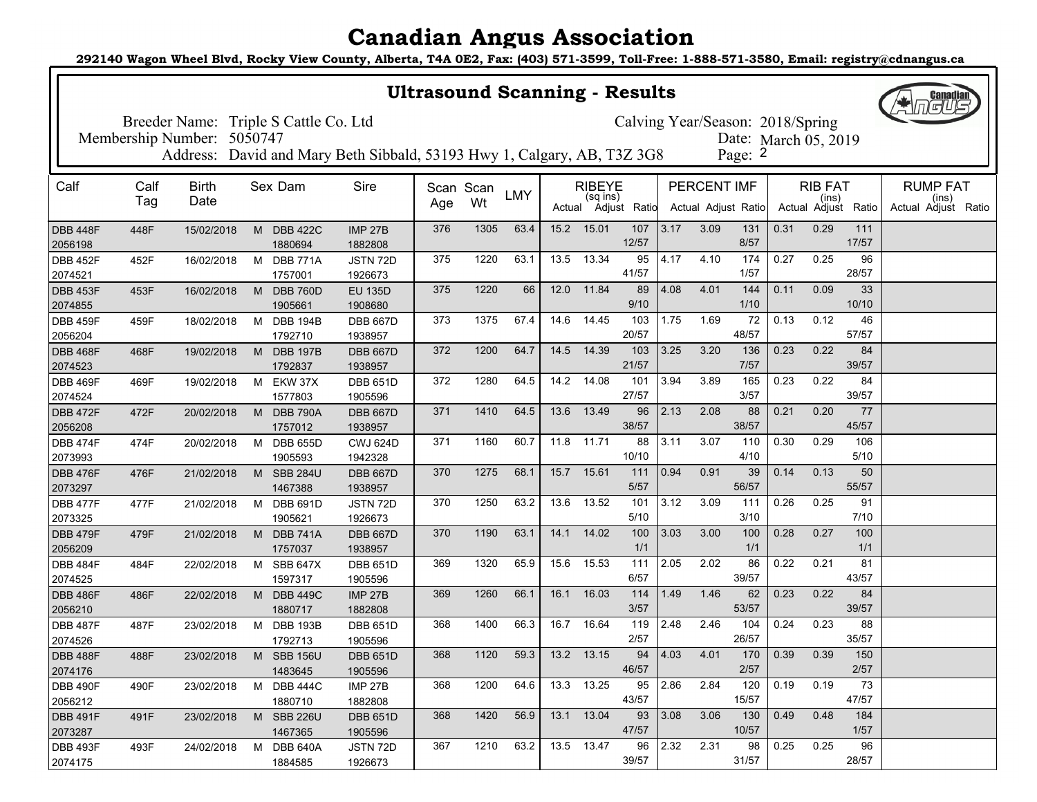**292140 Wagon Wheel Blvd, Rocky View County, Alberta, T4A 0E2, Fax: (403) 571-3599, Toll-Free: 1-888-571-3580, Email: registry@cdnangus.ca**

| <b>Ultrasound Scanning - Results</b>                                      |                            |              |   |                            |                                                                         |           |      |            |      |               |                     |                |             | <b>Canadian</b>      |      |                |                     |                              |
|---------------------------------------------------------------------------|----------------------------|--------------|---|----------------------------|-------------------------------------------------------------------------|-----------|------|------------|------|---------------|---------------------|----------------|-------------|----------------------|------|----------------|---------------------|------------------------------|
| Breeder Name: Triple S Cattle Co. Ltd<br>Calving Year/Season: 2018/Spring |                            |              |   |                            |                                                                         |           |      |            |      |               |                     |                |             |                      |      |                |                     |                              |
|                                                                           | Membership Number: 5050747 |              |   |                            |                                                                         |           |      |            |      |               |                     |                |             | Date: March 05, 2019 |      |                |                     |                              |
|                                                                           |                            |              |   |                            | Address: David and Mary Beth Sibbald, 53193 Hwy 1, Calgary, AB, T3Z 3G8 |           |      |            |      |               |                     |                |             | Page: 2              |      |                |                     |                              |
| Calf                                                                      | Calf                       | <b>Birth</b> |   | Sex Dam                    | Sire                                                                    | Scan Scan |      |            |      | <b>RIBEYE</b> |                     |                | PERCENT IMF |                      |      | <b>RIB FAT</b> |                     | <b>RUMP FAT</b>              |
|                                                                           | Tag                        | Date         |   |                            |                                                                         | Age       | Wt   | <b>LMY</b> |      | (sq ins)      | Actual Adjust Ratio |                |             | Actual Adjust Ratio  |      | (ins)          | Actual Adjust Ratio | (ins)<br>Actual Adjust Ratio |
| <b>DBB 448F</b><br>2056198                                                | 448F                       | 15/02/2018   |   | M DBB 422C<br>1880694      | <b>IMP 27B</b><br>1882808                                               | 376       | 1305 | 63.4       | 15.2 | 15.01         | 107<br>12/57        | 3.17           | 3.09        | 131<br>8/57          | 0.31 | 0.29           | 111<br>17/57        |                              |
| <b>DBB 452F</b>                                                           | 452F                       | 16/02/2018   | м | <b>DBB 771A</b>            | JSTN 72D                                                                | 375       | 1220 | 63.1       | 13.5 | 13.34         | 95<br>41/57         | 4.17           | 4.10        | 174<br>1/57          | 0.27 | 0.25           | 96<br>28/57         |                              |
| 2074521<br><b>DBB 453F</b>                                                | 453F                       | 16/02/2018   | M | 1757001<br><b>DBB 760D</b> | 1926673<br><b>EU 135D</b>                                               | 375       | 1220 | 66         | 12.0 | 11.84         | 89                  | 4.08           | 4.01        | 144                  | 0.11 | 0.09           | 33                  |                              |
| 2074855                                                                   |                            |              |   | 1905661                    | 1908680                                                                 |           |      |            |      |               | 9/10                |                |             | 1/10                 |      |                | 10/10               |                              |
| <b>DBB 459F</b>                                                           | 459F                       | 18/02/2018   | M | <b>DBB 194B</b>            | <b>DBB 667D</b>                                                         | 373       | 1375 | 67.4       | 14.6 | 14.45         | 103                 | 1.75           | 1.69        | 72                   | 0.13 | 0.12           | 46                  |                              |
| 2056204                                                                   |                            |              |   | 1792710                    | 1938957                                                                 |           |      |            |      |               | 20/57               |                |             | 48/57                |      |                | 57/57               |                              |
| <b>DBB 468F</b>                                                           | 468F                       | 19/02/2018   | M | <b>DBB 197B</b>            | <b>DBB 667D</b>                                                         | 372       | 1200 | 64.7       | 14.5 | 14.39         | 103<br>21/57        | 3.25           | 3.20        | 136<br>7/57          | 0.23 | 0.22           | 84<br>39/57         |                              |
| 2074523<br><b>DBB 469F</b>                                                | 469F                       | 19/02/2018   |   | 1792837<br>M EKW 37X       | 1938957<br><b>DBB 651D</b>                                              | 372       | 1280 | 64.5       | 14.2 | 14.08         | 101                 | 3.94           | 3.89        | 165                  | 0.23 | 0.22           | 84                  |                              |
| 2074524                                                                   |                            |              |   | 1577803                    | 1905596                                                                 |           |      |            |      |               | 27/57               |                |             | 3/57                 |      |                | 39/57               |                              |
| <b>DBB 472F</b>                                                           | 472F                       | 20/02/2018   | M | <b>DBB 790A</b>            | <b>DBB 667D</b>                                                         | 371       | 1410 | 64.5       | 13.6 | 13.49         | 96                  | 2.13           | 2.08        | 88                   | 0.21 | 0.20           | 77                  |                              |
| 2056208                                                                   |                            |              |   | 1757012                    | 1938957                                                                 |           |      |            |      |               | 38/57               |                |             | 38/57                |      |                | 45/57               |                              |
| <b>DBB 474F</b>                                                           | 474F                       | 20/02/2018   | M | <b>DBB 655D</b>            | <b>CWJ 624D</b>                                                         | 371       | 1160 | 60.7       | 11.8 | 11.71         | 88                  | 3.11           | 3.07        | 110                  | 0.30 | 0.29           | 106                 |                              |
| 2073993                                                                   |                            |              |   | 1905593                    | 1942328                                                                 | 370       | 1275 | 68.1       | 15.7 | 15.61         | 10/10<br>111        | 0.94           | 0.91        | 4/10<br>39           | 0.14 | 0.13           | 5/10<br>50          |                              |
| <b>DBB 476F</b><br>2073297                                                | 476F                       | 21/02/2018   | M | <b>SBB 284U</b><br>1467388 | <b>DBB 667D</b><br>1938957                                              |           |      |            |      |               | 5/57                |                |             | 56/57                |      |                | 55/57               |                              |
| <b>DBB 477F</b>                                                           | 477F                       | 21/02/2018   | M | <b>DBB 691D</b>            | JSTN 72D                                                                | 370       | 1250 | 63.2       | 13.6 | 13.52         | 101                 | 3.12           | 3.09        | 111                  | 0.26 | 0.25           | 91                  |                              |
| 2073325                                                                   |                            |              |   | 1905621                    | 1926673                                                                 |           |      |            |      |               | 5/10                |                |             | 3/10                 |      |                | 7/10                |                              |
| <b>DBB 479F</b>                                                           | 479F                       | 21/02/2018   | M | <b>DBB 741A</b>            | <b>DBB 667D</b>                                                         | 370       | 1190 | 63.1       | 14.1 | 14.02         | 100                 | 3.03           | 3.00        | 100                  | 0.28 | 0.27           | 100                 |                              |
| 2056209                                                                   |                            |              |   | 1757037                    | 1938957                                                                 | 369       | 1320 | 65.9       | 15.6 | 15.53         | 1/1<br>111          | 2.05           | 2.02        | 1/1<br>86            | 0.22 | 0.21           | 1/1<br>81           |                              |
| <b>DBB 484F</b><br>2074525                                                | 484F                       | 22/02/2018   |   | M SBB 647X<br>1597317      | <b>DBB 651D</b><br>1905596                                              |           |      |            |      |               | 6/57                |                |             | 39/57                |      |                | 43/57               |                              |
| <b>DBB 486F</b>                                                           | 486F                       | 22/02/2018   |   | M DBB 449C                 | <b>IMP 27B</b>                                                          | 369       | 1260 | 66.1       | 16.1 | 16.03         | 114                 | 1.49           | 1.46        | 62                   | 0.23 | 0.22           | 84                  |                              |
| 2056210                                                                   |                            |              |   | 1880717                    | 1882808                                                                 |           |      |            |      |               | 3/57                |                |             | 53/57                |      |                | 39/57               |                              |
| <b>DBB 487F</b>                                                           | 487F                       | 23/02/2018   |   | M DBB 193B                 | <b>DBB 651D</b>                                                         | 368       | 1400 | 66.3       | 16.7 | 16.64         | 119                 | 2.48           | 2.46        | 104                  | 0.24 | 0.23           | 88                  |                              |
| 2074526                                                                   |                            |              |   | 1792713                    | 1905596                                                                 |           |      |            |      |               | 2/57                |                |             | 26/57                |      |                | 35/57               |                              |
| <b>DBB 488F</b><br>2074176                                                | 488F                       | 23/02/2018   |   | M SBB 156U                 | <b>DBB 651D</b><br>1905596                                              | 368       | 1120 | 59.3       |      | 13.2 13.15    | 94<br>46/57         | 4.03           | 4.01        | 170<br>$2/57$        | 0.39 | 0.39           | 150<br>2/57         |                              |
| <b>DBB 490F</b>                                                           | 490F                       | 23/02/2018   |   | 1483645<br>M DBB 444C      | <b>IMP 27B</b>                                                          | 368       | 1200 | 64.6       |      | 13.3 13.25    | 95                  | 2.86           | 2.84        | 120                  | 0.19 | 0.19           | 73                  |                              |
| 2056212                                                                   |                            |              |   | 1880710                    | 1882808                                                                 |           |      |            |      |               | 43/57               |                |             | 15/57                |      |                | 47/57               |                              |
| <b>DBB 491F</b>                                                           | 491F                       | 23/02/2018   |   | M SBB 226U                 | <b>DBB 651D</b>                                                         | 368       | 1420 | 56.9       |      | 13.1 13.04    |                     | $93 \mid 3.08$ | 3.06        | 130                  | 0.49 | 0.48           | 184                 |                              |
| 2073287                                                                   |                            |              |   | 1467365                    | 1905596                                                                 |           |      |            |      |               | 47/57               |                |             | 10/57                |      |                | 1/57                |                              |
| <b>DBB 493F</b>                                                           | 493F                       | 24/02/2018   |   | M DBB 640A                 | JSTN 72D                                                                | 367       | 1210 | 63.2       |      | 13.5 13.47    | 96                  | 2.32           | 2.31        | 98                   | 0.25 | 0.25           | 96                  |                              |
| 2074175                                                                   |                            |              |   | 1884585                    | 1926673                                                                 |           |      |            |      |               | 39/57               |                |             | 31/57                |      |                | 28/57               |                              |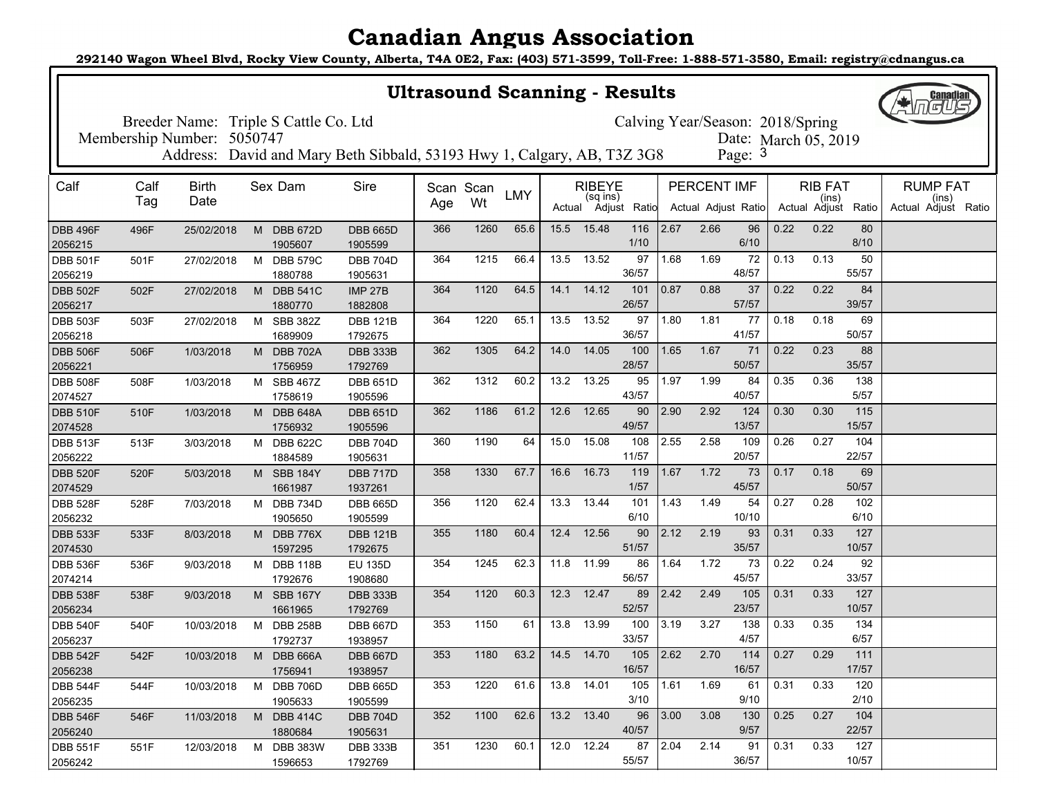**292140 Wagon Wheel Blvd, Rocky View County, Alberta, T4A 0E2, Fax: (403) 571-3599, Toll-Free: 1-888-571-3580, Email: registry@cdnangus.ca**

| <b>Ultrasound Scanning - Results</b>                                                                                            |      |              |   |                            |                                                                         |     |           |            |      |               |                     |           |             | <b>Canadian</b>     |      |                              |              |                              |
|---------------------------------------------------------------------------------------------------------------------------------|------|--------------|---|----------------------------|-------------------------------------------------------------------------|-----|-----------|------------|------|---------------|---------------------|-----------|-------------|---------------------|------|------------------------------|--------------|------------------------------|
| Breeder Name: Triple S Cattle Co. Ltd<br>Calving Year/Season: 2018/Spring<br>Membership Number: 5050747<br>Date: March 05, 2019 |      |              |   |                            |                                                                         |     |           |            |      |               |                     |           |             |                     |      |                              |              |                              |
|                                                                                                                                 |      |              |   |                            |                                                                         |     |           |            |      |               |                     |           |             |                     |      |                              |              |                              |
|                                                                                                                                 |      |              |   |                            | Address: David and Mary Beth Sibbald, 53193 Hwy 1, Calgary, AB, T3Z 3G8 |     |           |            |      |               |                     |           |             | Page: 3             |      |                              |              |                              |
| Calf                                                                                                                            | Calf | <b>Birth</b> |   | Sex Dam                    | Sire                                                                    |     | Scan Scan |            |      | <b>RIBEYE</b> |                     |           | PERCENT IMF |                     |      | <b>RIB FAT</b>               |              | <b>RUMP FAT</b>              |
|                                                                                                                                 | Tag  | Date         |   |                            |                                                                         | Age | Wt        | <b>LMY</b> |      | (sq ins)      | Actual Adjust Ratio |           |             | Actual Adjust Ratio |      | (ins)<br>Actual Adjust Ratio |              | (ins)<br>Actual Adjust Ratio |
| <b>DBB 496F</b><br>2056215                                                                                                      | 496F | 25/02/2018   | M | <b>DBB 672D</b><br>1905607 | <b>DBB 665D</b><br>1905599                                              | 366 | 1260      | 65.6       | 15.5 | 15.48         | 116<br>1/10         | 2.67      | 2.66        | 96<br>6/10          | 0.22 | 0.22                         | 80<br>8/10   |                              |
| <b>DBB 501F</b>                                                                                                                 | 501F | 27/02/2018   | м | <b>DBB 579C</b>            | <b>DBB 704D</b>                                                         | 364 | 1215      | 66.4       | 13.5 | 13.52         | 97<br>36/57         | 1.68      | 1.69        | 72<br>48/57         | 0.13 | 0.13                         | 50<br>55/57  |                              |
| 2056219<br><b>DBB 502F</b>                                                                                                      | 502F | 27/02/2018   | M | 1880788<br><b>DBB 541C</b> | 1905631<br><b>IMP 27B</b>                                               | 364 | 1120      | 64.5       | 14.1 | 14.12         | 101                 | 0.87      | 0.88        | 37                  | 0.22 | 0.22                         | 84           |                              |
| 2056217                                                                                                                         |      |              |   | 1880770                    | 1882808                                                                 |     |           |            |      |               | 26/57               |           |             | 57/57               |      |                              | 39/57        |                              |
| <b>DBB 503F</b>                                                                                                                 | 503F | 27/02/2018   | M | <b>SBB 382Z</b>            | <b>DBB 121B</b>                                                         | 364 | 1220      | 65.1       | 13.5 | 13.52         | 97                  | 1.80      | 1.81        | 77                  | 0.18 | 0.18                         | 69           |                              |
| 2056218                                                                                                                         |      |              |   | 1689909                    | 1792675                                                                 |     |           |            |      |               | 36/57               |           |             | 41/57               |      |                              | 50/57        |                              |
| <b>DBB 506F</b><br>2056221                                                                                                      | 506F | 1/03/2018    |   | M DBB 702A<br>1756959      | <b>DBB 333B</b><br>1792769                                              | 362 | 1305      | 64.2       | 14.0 | 14.05         | 100<br>28/57        | 1.65      | 1.67        | 71<br>50/57         | 0.22 | 0.23                         | 88<br>35/57  |                              |
| <b>DBB 508F</b>                                                                                                                 | 508F | 1/03/2018    |   | M SBB 467Z                 | <b>DBB 651D</b>                                                         | 362 | 1312      | 60.2       | 13.2 | 13.25         | 95                  | 1.97      | 1.99        | 84                  | 0.35 | 0.36                         | 138          |                              |
| 2074527                                                                                                                         |      |              |   | 1758619                    | 1905596                                                                 |     |           |            |      |               | 43/57               |           |             | 40/57               |      |                              | 5/57         |                              |
| <b>DBB 510F</b>                                                                                                                 | 510F | 1/03/2018    | М | <b>DBB 648A</b>            | <b>DBB 651D</b>                                                         | 362 | 1186      | 61.2       | 12.6 | 12.65         | 90                  | 2.90      | 2.92        | 124                 | 0.30 | 0.30                         | 115          |                              |
| 2074528                                                                                                                         |      |              |   | 1756932                    | 1905596                                                                 |     |           |            |      |               | 49/57               |           |             | 13/57               |      |                              | 15/57        |                              |
| <b>DBB 513F</b><br>2056222                                                                                                      | 513F | 3/03/2018    | M | <b>DBB 622C</b><br>1884589 | <b>DBB 704D</b><br>1905631                                              | 360 | 1190      | 64         | 15.0 | 15.08         | 108<br>11/57        | 2.55      | 2.58        | 109<br>20/57        | 0.26 | 0.27                         | 104<br>22/57 |                              |
| <b>DBB 520F</b>                                                                                                                 | 520F | 5/03/2018    |   | M SBB 184Y                 | <b>DBB 717D</b>                                                         | 358 | 1330      | 67.7       | 16.6 | 16.73         | 119                 | 1.67      | 1.72        | 73                  | 0.17 | 0.18                         | 69           |                              |
| 2074529                                                                                                                         |      |              |   | 1661987                    | 1937261                                                                 |     |           |            |      |               | 1/57                |           |             | 45/57               |      |                              | 50/57        |                              |
| <b>DBB 528F</b>                                                                                                                 | 528F | 7/03/2018    |   | M DBB 734D                 | <b>DBB 665D</b>                                                         | 356 | 1120      | 62.4       | 13.3 | 13.44         | 101                 | 1.43      | 1.49        | 54                  | 0.27 | 0.28                         | 102          |                              |
| 2056232                                                                                                                         |      |              |   | 1905650                    | 1905599                                                                 |     |           |            |      |               | 6/10                |           |             | 10/10               |      |                              | 6/10         |                              |
| <b>DBB 533F</b><br>2074530                                                                                                      | 533F | 8/03/2018    | M | <b>DBB 776X</b><br>1597295 | <b>DBB 121B</b><br>1792675                                              | 355 | 1180      | 60.4       | 12.4 | 12.56         | 90<br>51/57         | 2.12      | 2.19        | 93<br>35/57         | 0.31 | 0.33                         | 127<br>10/57 |                              |
| <b>DBB 536F</b>                                                                                                                 | 536F | 9/03/2018    |   | M DBB 118B                 | <b>EU 135D</b>                                                          | 354 | 1245      | 62.3       | 11.8 | 11.99         | 86                  | 1.64      | 1.72        | 73                  | 0.22 | 0.24                         | 92           |                              |
| 2074214                                                                                                                         |      |              |   | 1792676                    | 1908680                                                                 |     |           |            |      |               | 56/57               |           |             | 45/57               |      |                              | 33/57        |                              |
| <b>DBB 538F</b><br>2056234                                                                                                      | 538F | 9/03/2018    |   | M SBB 167Y<br>1661965      | <b>DBB 333B</b><br>1792769                                              | 354 | 1120      | 60.3       | 12.3 | 12.47         | 89<br>52/57         | 2.42      | 2.49        | 105<br>23/57        | 0.31 | 0.33                         | 127<br>10/57 |                              |
| <b>DBB 540F</b>                                                                                                                 | 540F | 10/03/2018   |   | M DBB 258B                 | <b>DBB 667D</b>                                                         | 353 | 1150      | 61         | 13.8 | 13.99         | 100                 | 3.19      | 3.27        | 138                 | 0.33 | 0.35                         | 134          |                              |
| 2056237                                                                                                                         |      |              |   | 1792737                    | 1938957                                                                 |     |           |            |      |               | 33/57               |           |             | 4/57                |      |                              | 6/57         |                              |
| <b>DBB 542F</b>                                                                                                                 | 542F | 10/03/2018   | M | DBB 666A                   | <b>DBB 667D</b>                                                         | 353 | 1180      | 63.2       | 14.5 | 14.70         | 105                 | 2.62      | 2.70        | 114                 | 0.27 | 0.29                         | 111          |                              |
| 2056238                                                                                                                         |      |              |   | 1756941                    | 1938957                                                                 |     |           |            |      |               | 16/57               |           |             | 16/57               |      |                              | 17/57<br>120 |                              |
| <b>DBB 544F</b><br>2056235                                                                                                      | 544F | 10/03/2018   |   | M DBB 706D<br>1905633      | <b>DBB 665D</b><br>1905599                                              | 353 | 1220      | 61.6       |      | 13.8 14.01    | 105<br>3/10         | 1.61      | 1.69        | 61<br>9/10          | 0.31 | 0.33                         | 2/10         |                              |
| <b>DBB 546F</b>                                                                                                                 | 546F | 11/03/2018   |   | M DBB 414C                 | <b>DBB 704D</b>                                                         | 352 | 1100      | 62.6       |      | 13.2 13.40    | 96                  | 3.00      | 3.08        | 130                 | 0.25 | 0.27                         | 104          |                              |
| 2056240                                                                                                                         |      |              |   | 1880684                    | 1905631                                                                 |     |           |            |      |               | 40/57               |           |             | 9/57                |      |                              | 22/57        |                              |
| <b>DBB 551F</b>                                                                                                                 | 551F | 12/03/2018   |   | M DBB 383W                 | <b>DBB 333B</b>                                                         | 351 | 1230      | 60.1       |      | 12.0 12.24    |                     | $87$ 2.04 | 2.14        | 91                  | 0.31 | 0.33                         | 127          |                              |
| 2056242                                                                                                                         |      |              |   | 1596653                    | 1792769                                                                 |     |           |            |      |               | 55/57               |           |             | 36/57               |      |                              | 10/57        |                              |